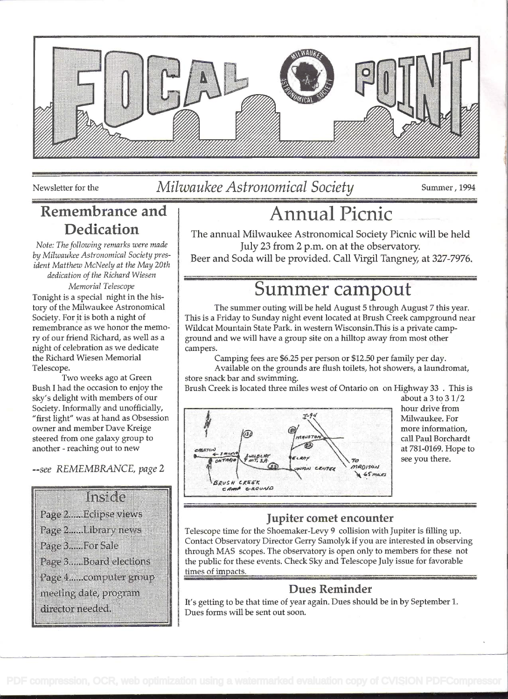

### Newsletter for the *Milwaukee Astronomical Society* Summer, 1994

# Dedication

Note: The following remarks were made by Milwaukee Astronomical Society president Matthew McNeely at the May 20th dedication of the Richard Wiesen

Memorial Telescope Tonight is a special night in the history of the Milwaukee Astronomical Society. For it is both a night of remembrance as we honor the memory of our friend Richard, as well as a night of celebration as we dedicate the Richard Wiesen Memorial Telescope.

Two weeks ago at Green Bush I had the occasion to enjoy the sky's delight with members of our Society. Informally and unofficially, "first light" was at hand as Obsession owner and member Dave Kreige steered from one galaxy group to another - reaching out to new

--see REMEMBRANCE, page <sup>2</sup>



## Remembrance and 1 Annual Picnic

The annual Milwaukee Astronomical Society Picnic will be held July 23 from 2 p.m. on at the observatory.

Beer and Soda will be provided. Call Virgil Tangney, at 327-7976.

### Summer campout

The summer outing will be held August 5 through August 7 this year. This is a Friday to Sunday night event located at Brush Creek campground near Wildcat Mountain State Park. in western Wisconsin.This is a private campground and we will have a group site on a hilltop away from most other campers.

Camping fees are \$6.25 per person or \$12.50 per family per day.

Available on the grounds are flush toilets, hot showers, a laundromat, store snack bar and swimming.

Brush Creek is located three miles west of Ontario on on Highway 33 . This is



about a 3 to 3 1/2 hour drive from Milwaukee. For more information, call Paul Borchardt at 781-0169. Hope to see you there.

### Jupiter comet encounter

Telescope time for the Shoemaker-Levy 9 collision with Jupiter is filling up. Contact Observatory Director Gerry Samolyk if you are interested in observing through MAS scopes. The observatory is open only to members for these not the public for these events. Check Sky and Telescope July issue for favorable times of impacts.

### Dues Reminder

It's getting to be that time of year again. Dues should be in by September 1. Dues forms will be sent out soon.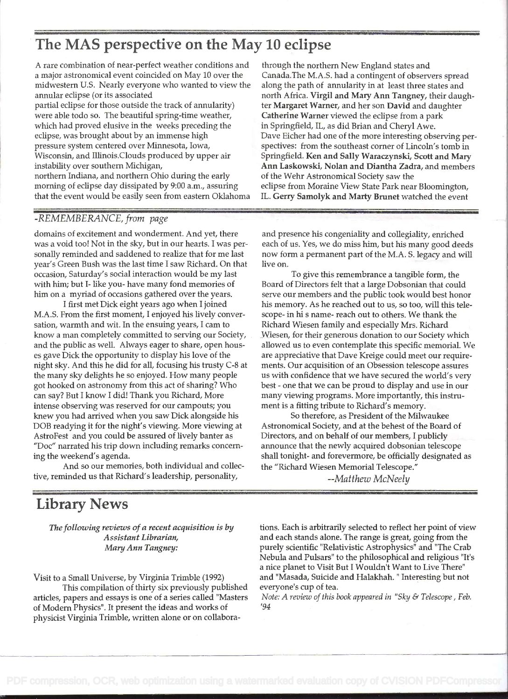### The MAS perspective on the May 10 eclipse

A rare combination of near-perfect weather conditions and a major astronomical event coincided on May 10 over the midwestern U.S. Nearly everyone who wanted to view the annular eclipse (or its associated

partial eclipse for those outside the track of annularity) were able todo so. The beautiful spring-time weather, which had proved elusive in the weeks preceding the eclipse, was brought about by an immense high pressure system centered over Minnesota, Iowa, Wisconsin, and Illinois.Clouds produced by upper air instability over southern Michigan, northern Indiana, and northern Ohio during the early morning of eclipse day dissipated by 9:00 a.m., assuring that the event would be easily seen from eastern Oklahoma

#### -REMEMBERANCE, from page

domains of excitement and wonderment. And yet, there was a void too! Not in the sky, but in our hearts. I was personally reminded and saddened to realize that for me last year's Green Bush was the last time I saw Richard. On that occasion, Saturday's social interaction would be my last with him; but I- like you- have many fond memories of him on a myriad of occasions gathered over the years.

I first met Dick eight years ago when I joined M.A.S. From the first moment, I enjoyed his lively conversation, warmth and wit. In the ensuing years, I cam to know a man completely committed to serving our Society, and the public as well. Always eager to share, open houses gave Dick the opportunity to display his love of the night sky. And this he did for all, focusing his trusty C-8 at the many sky delights he so enjoyed. How many people got hooked on astronomy from this act of sharing? Who can say? But I know I did! Thank you Richard, More intense observing was reserved for our campouts; you knew you had arrived when you saw Dick alongside his DOB readying it for the night's viewing. More viewing at AstroFest and you could be assured of lively banter as "Doc" narrated his trip down including remarks concerning the weekend's agenda.

And so our memories, both individual and collective, reminded us that Richard's leadership, personality,

#### through the northern New England states and Canada.The M.A.S. had a contingent of observers spread along the path of annularity in at least three states and north Africa. Virgil and Mary Ann Tangney, their daughter Margaret Warner, and her son David and daughter Catherine Warner viewed the eclipse from a park in Springfield, IL, as did Brian and Cheryl Awe. Dave Ficher had one of the more interesting observing perspectives: from the southeast corner of Lincoln's tomb in Springfield. Ken and Sally Waraczynski, Scott and Mary Ann Laskowski, Nolan and Diantha Zadra, and members of the Wehr Astronomical Society saw the eclipse from Moraine View State Park near Bloomington, IL. Gerry Samolyk and Marty Brunet watched the event

and presence his congeniality and collegiality, enriched each of us. Yes, we do miss him, but his many good deeds now form a permanent part of the M.A. S. legacy and will live on.

To give this remembrance a tangible form, the Board of Directors felt that a large Dobsonian that could serve our members and the public took would best honor his memory. As he reached out to us, so too, will this telescope- in hi s name- reach out to others. We thank the Richard Wiesen family and especially Mrs. Richard Wiesen, for their generous donation to our Society which allowed us to even contemplate this specific memorial. We are appreciative that Dave Kreige could meet our requirements. Our acquisition of an Obsession telescope assures us with confidence that we have secured the world's very best - one that we can be proud to display and use in our many viewing programs. More importantly, this instrument is a fitting tribute to Richard's memory.

So therefore, as President of the Milwaukee Astronomical Society, and at the behest of the Board of Directors, and on behalf of our members, I publicly announce that the newly acquired dobsonian telescope shall tonight- and forevermore, be officially designated as the "Richard Wiesen Memorial Telescope."

--Matthew McNeely

### Library News

The following reviews of a recent acquisition is by Assistant Librarian, MaryAnn Tangney:

Visit to a Small Universe, by Virginia Trimble (1992)

This compilation of thirty six previously published articles, papers and essays is one of a series called 'Masters of Modern Physics" . It present the ideas and works of physicist Virginia Trimble, written alone or on collaborations. Each is arbitrarily selected to reflect her point of view and each stands alone. The range is great, going from the purely scientific "Relativistic Astrophysics" and "The Crab Nebula and Pulsars" to the philosophical and religious "It's a nice planet to Visit But I Wouldn't Want to Live There" and "Masada, Suicide and Halakhah. " Interesting but not everyone's cup of tea.

Note: A review of this book appeared in "Sky & Telescope , Feb. '94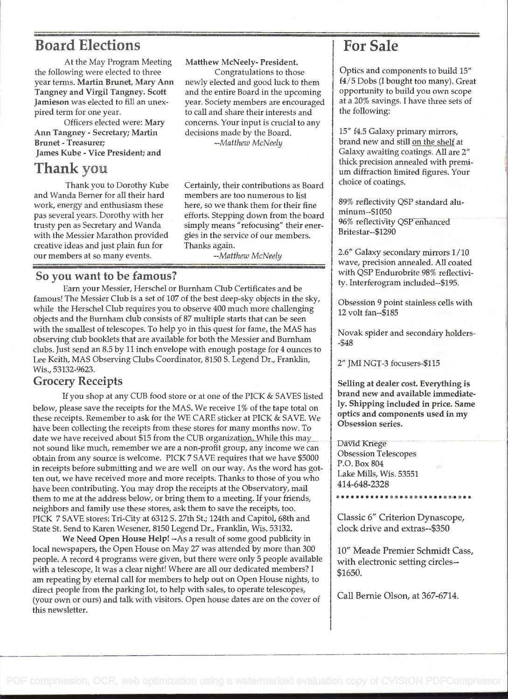### Board Elections 1 For Sale

At the May Program Meeting the following were elected to three year terms. Martin Brunet, Mary Ann Tangney and Virgil Tangney. Scott Jamieson was elected to fill an unexpired term for one year.

Officers elected were: Mary Ann Tangney - Secretary; Martin Brunet - Treasurer; James Kube - Vice President; and

### Thank you

Thank you to Dorothy Kube and Wanda Berner for all their hard work, energy and enthusiasm these pas several years. Dorothy with her trusty pen as Secretary and Wanda with the Messier Marathon provided creative ideas and just plain fun for our members at so many events.

Matthew McNeely- President. Congratulations to those newly elected and good luck to them and the entire Board in the upcoming year. Society members are encouraged to call and share their interests and concerns. Your input is crucial to any decisions made by the Board.

--Matthew McNeely

Certainly, their contributions as Board members are too numerous to list here, so we thank them for their fine efforts. Stepping down from the board simply means "refocusing" their energies in the service of our members. Thanks again.

--Matthew McNeely

#### So you want to be famous?

Earn your Messier, Herschel or Burnham Club Certificates and be famous! The Messier Club is a set of 107 of the best deep-sky objects in the sky, while the Herschel Club requires you to observe 400 much more challenging objects and the Burnham club consists of 87 multiple starts that can be seen with the smallest of telescopes. To help yo in this quest for fame, the MAS has observing club booklets that are available for both the Messier and Burnham clubs. Just send an 8.5 by 11 inch envelope with enough postage for 4 ounces to Lee Keith, MAS Observing Clubs Coordinator, 8150 S. Legend Dr., Franklin, Wis., 53132-9623.

#### Grocery Receipts

If you shop at any CUB food store or at one of the PICK & SAVES listed below, please save the receipts for the MAS. We receive <sup>1</sup>% of the tape total on these receipts. Remember to ask for the WE CARE sticker at PICK & SAVE. We have been collecting the receipts from these stores for many months now. To date we have received about \$15 from the CUB organization. While this may not sound like much, remember we are a non-profit group, any income we can obtain from any source is welcome. PICK 7 SAVE requires that we have \$5000 in receipts before submitting and we are well on our way. As the word has gotten out, we have received more and more receipts. Thanks to those of you who  $\frac{1}{414-648-2328}$ have been contributing. You may drop the receipts at the Observatory, mail them to me at the address below, or bring them to a meeting. If your friends, neighbors and family use these stores, ask them to save the receipts, too. PICK 7 SAVE stores: Tn-City at 6312 S. 27th St.; 124th and Capitol, 68th and State St. Send to Karen Wesener, 8150 Legend Dr., Franklin, Wis. 53132.

We Need Open House Help! --As a result of some good publicity in local newspapers, the Open House on May 27 was attended by more than 300 people. A record 4 programs were given, but there were only 5 people available with a telescope, It was a clear night! Where are all our dedicated members? I am repeating by eternal call for members to help out on Open House nights, to direct people from the parking lot, to help with sales, to operate telescopes, ( your own or ours) and talk with visitors. Open house dates are on the cover of this newsletter.

Optics and components to build 15" f4/5 Dobs (I bought too many). Great opportunity to build you own scope at a 20% savings. I have three sets of the following:

15" f4.5 Galaxy primary mirrors, brand new and still on the shelf at Galaxy awaiting coatings. All are 2" thick precision annealed with premium diffraction limited figures. Your choice of coatings.

89% reflectivity QSP standard aluminum--\$1050 96% reflectivity QSP enhanced Britestar--\$1290

2.6" Galaxy secondary mirrors  $1/10$ wave, precision annealed. All coated with QSP Endurobrite 98% reflectivity. Interferogram included--\$195.

Obsession 9 point stainless cells with 12 volt fan--\$185

Novak spider and secondáry holders- -\$48

2" JMI NGT-3 focusers-\$115

Selling at dealer cost. Everything is brand new and available immediate ly. Shipping included in price. Same optics and components used in my Obsession series.

David Kriege Obsession Telescopes P.O. Box 804 Lake Mills, Wis. 53551

414-648-2328 ............................

Classic 6" Criterion Dynascope, clock drive and extras--\$350

10" Meade Premier Schmidt Cass, with electronic setting circles-- \$1650.

Call Bernie Olson, at 367-6714.